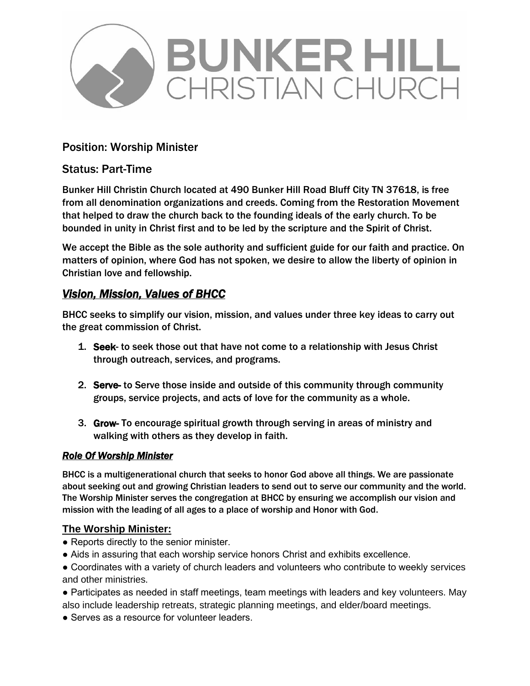

## Position: Worship Minister

## Status: Part-Time

Bunker Hill Christin Church located at 490 Bunker Hill Road Bluff City TN 37618, is free from all denomination organizations and creeds. Coming from the Restoration Movement that helped to draw the church back to the founding ideals of the early church. To be bounded in unity in Christ first and to be led by the scripture and the Spirit of Christ.

We accept the Bible as the sole authority and sufficient guide for our faith and practice. On matters of opinion, where God has not spoken, we desire to allow the liberty of opinion in Christian love and fellowship.

# *Vision, Mission, Values of BHCC*

BHCC seeks to simplify our vision, mission, and values under three key ideas to carry out the great commission of Christ.

- 1. Seek- to seek those out that have not come to a relationship with Jesus Christ through outreach, services, and programs.
- 2. Serve- to Serve those inside and outside of this community through community groups, service projects, and acts of love for the community as a whole.
- 3. Grow- To encourage spiritual growth through serving in areas of ministry and walking with others as they develop in faith.

#### *Role Of Worship Minister*

BHCC is a multigenerational church that seeks to honor God above all things. We are passionate about seeking out and growing Christian leaders to send out to serve our community and the world. The Worship Minister serves the congregation at BHCC by ensuring we accomplish our vision and mission with the leading of all ages to a place of worship and Honor with God.

## **The Worship Minister:**

- Reports directly to the senior minister.
- Aids in assuring that each worship service honors Christ and exhibits excellence.
- Coordinates with a variety of church leaders and volunteers who contribute to weekly services and other ministries.
- Participates as needed in staff meetings, team meetings with leaders and key volunteers. May also include leadership retreats, strategic planning meetings, and elder/board meetings.
- Serves as a resource for volunteer leaders.